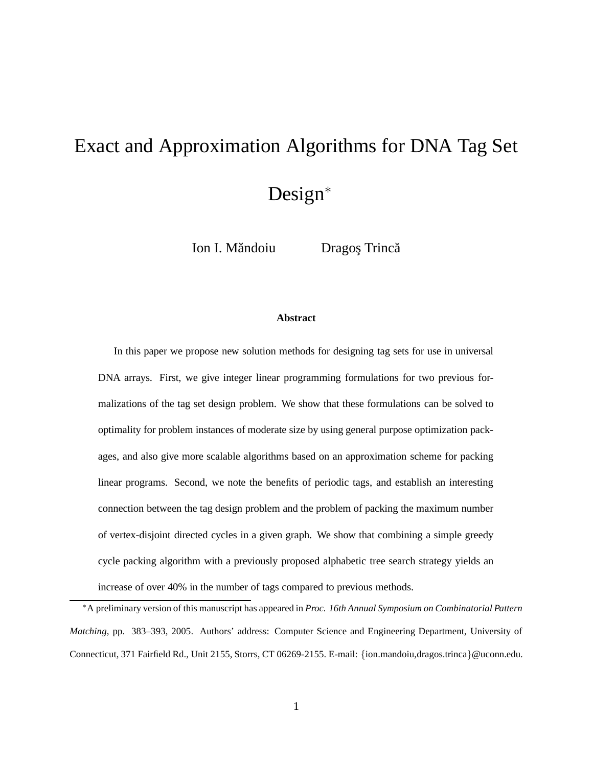# Exact and Approximation Algorithms for DNA Tag Set Design<sup>∗</sup>

Ion I. Măndoiu Dragos Trincă

#### **Abstract**

In this paper we propose new solution methods for designing tag sets for use in universal DNA arrays. First, we give integer linear programming formulations for two previous formalizations of the tag set design problem. We show that these formulations can be solved to optimality for problem instances of moderate size by using general purpose optimization packages, and also give more scalable algorithms based on an approximation scheme for packing linear programs. Second, we note the benefits of periodic tags, and establish an interesting connection between the tag design problem and the problem of packing the maximum number of vertex-disjoint directed cycles in a given graph. We show that combining a simple greedy cycle packing algorithm with a previously proposed alphabetic tree search strategy yields an increase of over 40% in the number of tags compared to previous methods.

<sup>∗</sup>A preliminary version of this manuscript has appeared in *Proc. 16th Annual Symposium on Combinatorial Pattern Matching*, pp. 383–393, 2005. Authors' address: Computer Science and Engineering Department, University of Connecticut, 371 Fairfield Rd., Unit 2155, Storrs, CT 06269-2155. E-mail: {ion.mandoiu,dragos.trinca}@uconn.edu.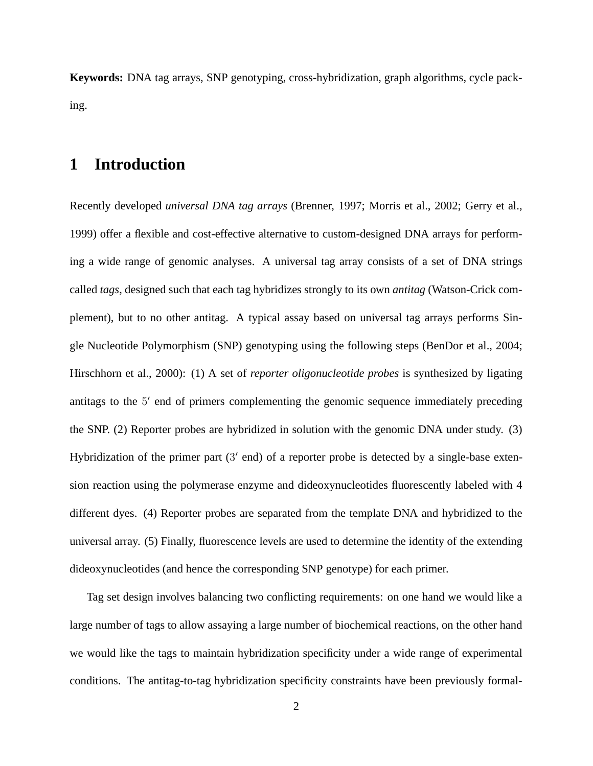**Keywords:** DNA tag arrays, SNP genotyping, cross-hybridization, graph algorithms, cycle packing.

## **1 Introduction**

Recently developed *universal DNA tag arrays* (Brenner, 1997; Morris et al., 2002; Gerry et al., 1999) offer a flexible and cost-effective alternative to custom-designed DNA arrays for performing a wide range of genomic analyses. A universal tag array consists of a set of DNA strings called *tags*, designed such that each tag hybridizes strongly to its own *antitag* (Watson-Crick complement), but to no other antitag. A typical assay based on universal tag arrays performs Single Nucleotide Polymorphism (SNP) genotyping using the following steps (BenDor et al., 2004; Hirschhorn et al., 2000): (1) A set of *reporter oligonucleotide probes* is synthesized by ligating antitags to the 5' end of primers complementing the genomic sequence immediately preceding the SNP. (2) Reporter probes are hybridized in solution with the genomic DNA under study. (3) Hybridization of the primer part (3' end) of a reporter probe is detected by a single-base extension reaction using the polymerase enzyme and dideoxynucleotides fluorescently labeled with 4 different dyes. (4) Reporter probes are separated from the template DNA and hybridized to the universal array. (5) Finally, fluorescence levels are used to determine the identity of the extending dideoxynucleotides (and hence the corresponding SNP genotype) for each primer.

Tag set design involves balancing two conflicting requirements: on one hand we would like a large number of tags to allow assaying a large number of biochemical reactions, on the other hand we would like the tags to maintain hybridization specificity under a wide range of experimental conditions. The antitag-to-tag hybridization specificity constraints have been previously formal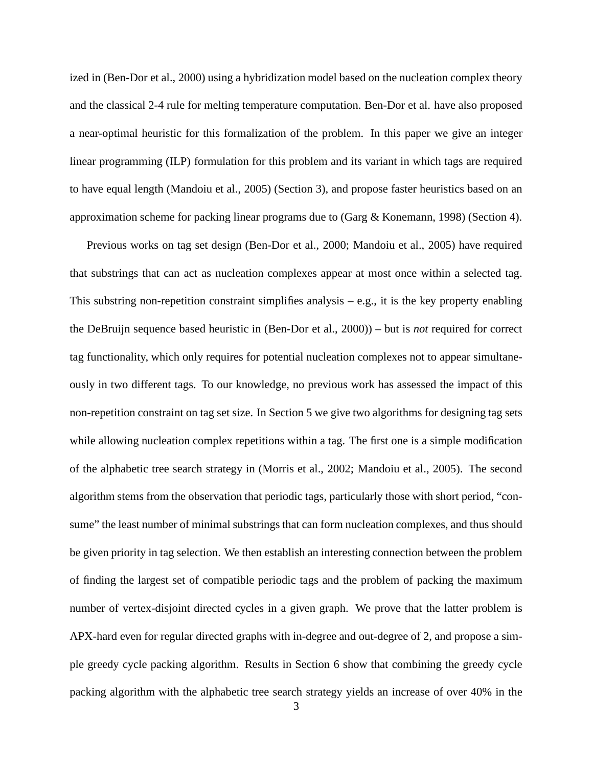ized in (Ben-Dor et al., 2000) using a hybridization model based on the nucleation complex theory and the classical 2-4 rule for melting temperature computation. Ben-Dor et al. have also proposed a near-optimal heuristic for this formalization of the problem. In this paper we give an integer linear programming (ILP) formulation for this problem and its variant in which tags are required to have equal length (Mandoiu et al., 2005) (Section 3), and propose faster heuristics based on an approximation scheme for packing linear programs due to (Garg & Konemann, 1998) (Section 4).

Previous works on tag set design (Ben-Dor et al., 2000; Mandoiu et al., 2005) have required that substrings that can act as nucleation complexes appear at most once within a selected tag. This substring non-repetition constraint simplifies analysis  $-$  e.g., it is the key property enabling the DeBruijn sequence based heuristic in (Ben-Dor et al., 2000)) – but is *not* required for correct tag functionality, which only requires for potential nucleation complexes not to appear simultaneously in two different tags. To our knowledge, no previous work has assessed the impact of this non-repetition constraint on tag set size. In Section 5 we give two algorithms for designing tag sets while allowing nucleation complex repetitions within a tag. The first one is a simple modification of the alphabetic tree search strategy in (Morris et al., 2002; Mandoiu et al., 2005). The second algorithm stems from the observation that periodic tags, particularly those with short period, "consume" the least number of minimal substrings that can form nucleation complexes, and thus should be given priority in tag selection. We then establish an interesting connection between the problem of finding the largest set of compatible periodic tags and the problem of packing the maximum number of vertex-disjoint directed cycles in a given graph. We prove that the latter problem is APX-hard even for regular directed graphs with in-degree and out-degree of 2, and propose a simple greedy cycle packing algorithm. Results in Section 6 show that combining the greedy cycle packing algorithm with the alphabetic tree search strategy yields an increase of over 40% in the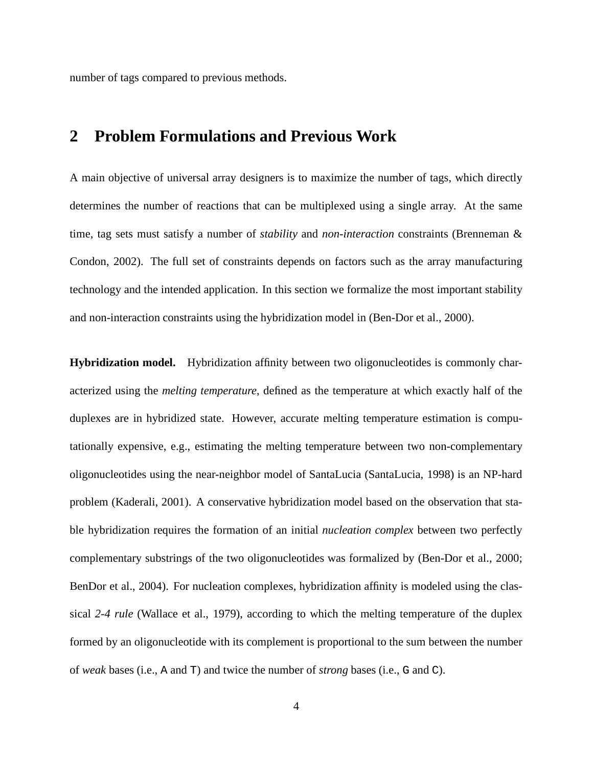number of tags compared to previous methods.

### **2 Problem Formulations and Previous Work**

A main objective of universal array designers is to maximize the number of tags, which directly determines the number of reactions that can be multiplexed using a single array. At the same time, tag sets must satisfy a number of *stability* and *non-interaction* constraints (Brenneman & Condon, 2002). The full set of constraints depends on factors such as the array manufacturing technology and the intended application. In this section we formalize the most important stability and non-interaction constraints using the hybridization model in (Ben-Dor et al., 2000).

**Hybridization model.** Hybridization affinity between two oligonucleotides is commonly characterized using the *melting temperature*, defined as the temperature at which exactly half of the duplexes are in hybridized state. However, accurate melting temperature estimation is computationally expensive, e.g., estimating the melting temperature between two non-complementary oligonucleotides using the near-neighbor model of SantaLucia (SantaLucia, 1998) is an NP-hard problem (Kaderali, 2001). A conservative hybridization model based on the observation that stable hybridization requires the formation of an initial *nucleation complex* between two perfectly complementary substrings of the two oligonucleotides was formalized by (Ben-Dor et al., 2000; BenDor et al., 2004). For nucleation complexes, hybridization affinity is modeled using the classical *2-4 rule* (Wallace et al., 1979), according to which the melting temperature of the duplex formed by an oligonucleotide with its complement is proportional to the sum between the number of *weak* bases (i.e., A and T) and twice the number of *strong* bases (i.e., G and C).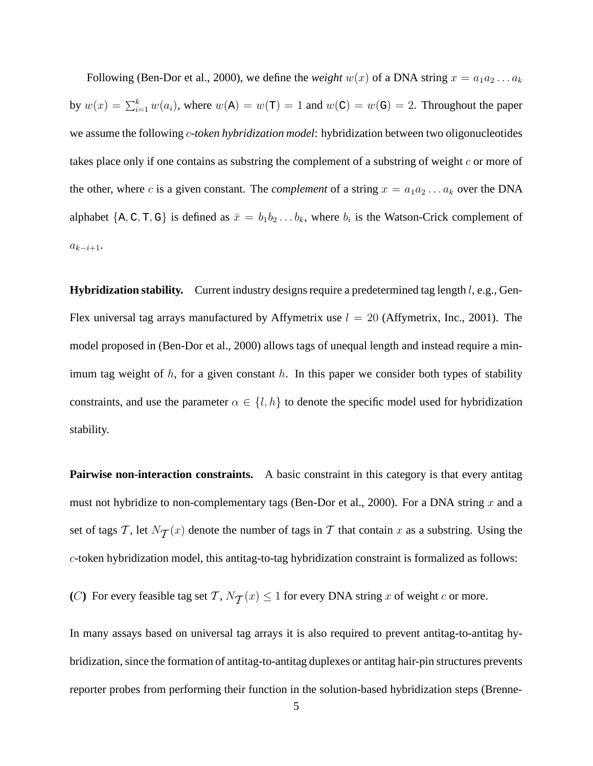Following (Ben-Dor et al., 2000), we define the *weight*  $w(x)$  of a DNA string  $x = a_1 a_2 ... a_k$ by  $w(x) = \sum_{i=1}^{k} w(a_i)$ , where  $w(A) = w(T) = 1$  and  $w(C) = w(G) = 2$ . Throughout the paper we assume the following c*-token hybridization model*: hybridization between two oligonucleotides takes place only if one contains as substring the complement of a substring of weight  $c$  or more of the other, where c is a given constant. The *complement* of a string  $x = a_1 a_2 \dots a_k$  over the DNA alphabet  $\{A, C, T, G\}$  is defined as  $\bar{x} = b_1b_2...b_k$ , where  $b_i$  is the Watson-Crick complement of  $a_{k-i+1}$ .

**Hybridization stability.** Current industry designs require a predetermined tag length l, e.g., Gen-Flex universal tag arrays manufactured by Affymetrix use  $l = 20$  (Affymetrix, Inc., 2001). The model proposed in (Ben-Dor et al., 2000) allows tags of unequal length and instead require a minimum tag weight of  $h$ , for a given constant  $h$ . In this paper we consider both types of stability constraints, and use the parameter  $\alpha \in \{l, h\}$  to denote the specific model used for hybridization stability.

**Pairwise non-interaction constraints.** A basic constraint in this category is that every antitag must not hybridize to non-complementary tags (Ben-Dor et al., 2000). For a DNA string x and a set of tags T, let  $N_{\mathcal{T}}(x)$  denote the number of tags in T that contain x as a substring. Using the c-token hybridization model, this antitag-to-tag hybridization constraint is formalized as follows:

(C) For every feasible tag set T,  $N_{\mathcal{T}}(x) \leq 1$  for every DNA string x of weight c or more.

In many assays based on universal tag arrays it is also required to prevent antitag-to-antitag hybridization, since the formation of antitag-to-antitag duplexes or antitag hair-pin structures prevents reporter probes from performing their function in the solution-based hybridization steps (Brenne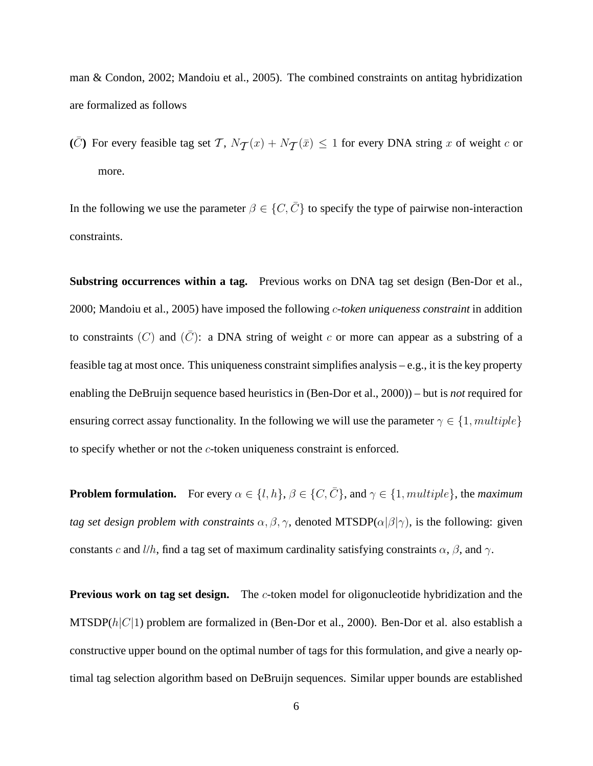man & Condon, 2002; Mandoiu et al., 2005). The combined constraints on antitag hybridization are formalized as follows

( $\overline{C}$ ) For every feasible tag set T,  $N_{\mathcal{T}}(x) + N_{\mathcal{T}}(\overline{x}) \le 1$  for every DNA string x of weight c or more.

In the following we use the parameter  $\beta \in \{C, \overline{C}\}\$  to specify the type of pairwise non-interaction constraints.

**Substring occurrences within a tag.** Previous works on DNA tag set design (Ben-Dor et al., 2000; Mandoiu et al., 2005) have imposed the following c*-token uniqueness constraint* in addition to constraints (C) and  $(\bar{C})$ : a DNA string of weight c or more can appear as a substring of a feasible tag at most once. This uniqueness constraint simplifies analysis – e.g., it is the key property enabling the DeBruijn sequence based heuristics in (Ben-Dor et al., 2000)) – but is *not* required for ensuring correct assay functionality. In the following we will use the parameter  $\gamma \in \{1, multiple\}$ to specify whether or not the c-token uniqueness constraint is enforced.

**Problem formulation.** For every  $\alpha \in \{l, h\}$ ,  $\beta \in \{C, \overline{C}\}$ , and  $\gamma \in \{1, multiple\}$ , the *maximum tag set design problem with constraints*  $\alpha$ ,  $\beta$ ,  $\gamma$ , denoted MTSDP( $\alpha$ | $\beta$ | $\gamma$ ), is the following: given constants c and l/h, find a tag set of maximum cardinality satisfying constraints  $\alpha$ ,  $\beta$ , and  $\gamma$ .

**Previous work on tag set design.** The c-token model for oligonucleotide hybridization and the MTSDP( $h|C|1$ ) problem are formalized in (Ben-Dor et al., 2000). Ben-Dor et al. also establish a constructive upper bound on the optimal number of tags for this formulation, and give a nearly optimal tag selection algorithm based on DeBruijn sequences. Similar upper bounds are established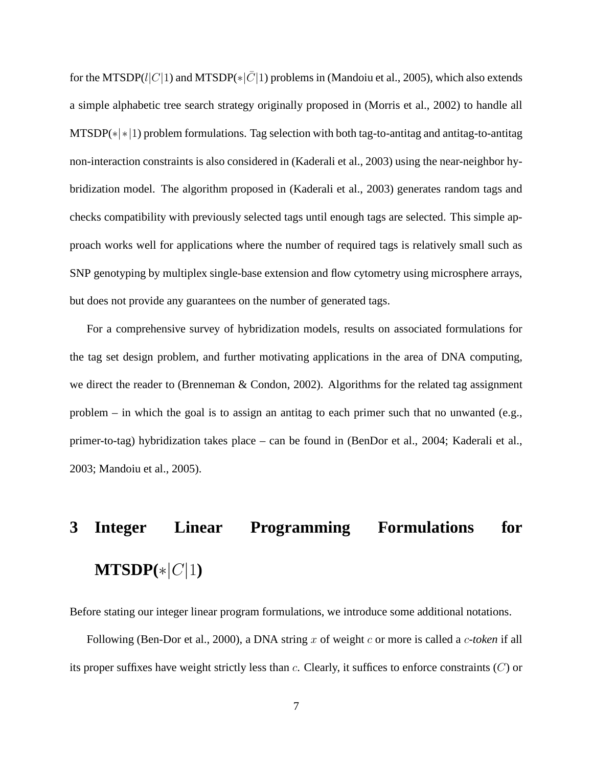for the MTSDP(l|C|1) and MTSDP( $|\bar{C}|1$ ) problems in (Mandoiu et al., 2005), which also extends a simple alphabetic tree search strategy originally proposed in (Morris et al., 2002) to handle all MTSDP(∗|∗|1) problem formulations. Tag selection with both tag-to-antitag and antitag-to-antitag non-interaction constraints is also considered in (Kaderali et al., 2003) using the near-neighbor hybridization model. The algorithm proposed in (Kaderali et al., 2003) generates random tags and checks compatibility with previously selected tags until enough tags are selected. This simple approach works well for applications where the number of required tags is relatively small such as SNP genotyping by multiplex single-base extension and flow cytometry using microsphere arrays, but does not provide any guarantees on the number of generated tags.

For a comprehensive survey of hybridization models, results on associated formulations for the tag set design problem, and further motivating applications in the area of DNA computing, we direct the reader to (Brenneman & Condon, 2002). Algorithms for the related tag assignment problem – in which the goal is to assign an antitag to each primer such that no unwanted (e.g., primer-to-tag) hybridization takes place – can be found in (BenDor et al., 2004; Kaderali et al., 2003; Mandoiu et al., 2005).

# **3 Integer Linear Programming Formulations for**  $MTSDP(*)C|1)$

Before stating our integer linear program formulations, we introduce some additional notations.

Following (Ben-Dor et al., 2000), a DNA string x of weight c or more is called a c-token if all its proper suffixes have weight strictly less than  $c$ . Clearly, it suffices to enforce constraints  $(C)$  or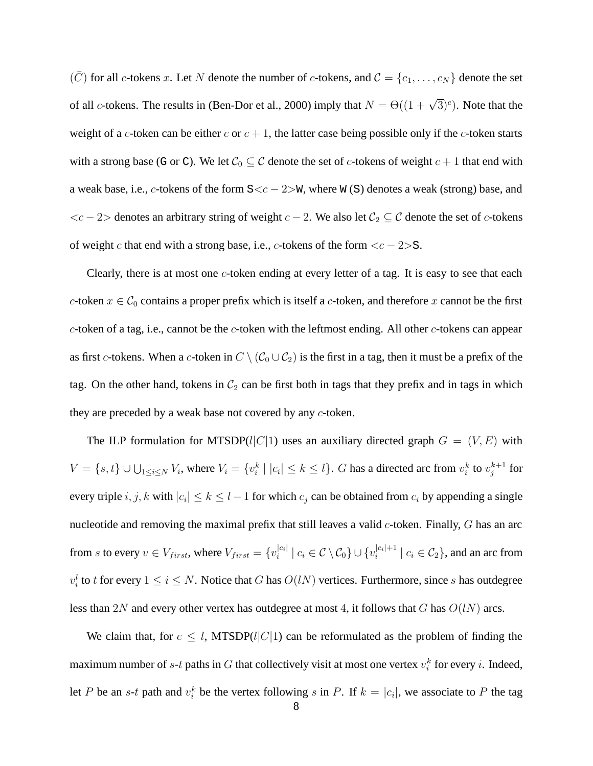$(\bar{C})$  for all c-tokens x. Let N denote the number of c-tokens, and  $C = \{c_1, \ldots, c_N\}$  denote the set of all c-tokens. The results in (Ben-Dor et al., 2000) imply that  $N = \Theta((1 + \sqrt{3})^c)$ . Note that the weight of a c-token can be either c or  $c + 1$ , the latter case being possible only if the c-token starts with a strong base (G or C). We let  $C_0 \subseteq C$  denote the set of c-tokens of weight  $c + 1$  that end with a weak base, i.e., c-tokens of the form  $S \lt c - 2 > w$ , where W(S) denotes a weak (strong) base, and  $\langle c - 2 \rangle$  denotes an arbitrary string of weight  $c - 2$ . We also let  $C_2 \subseteq C$  denote the set of c-tokens of weight c that end with a strong base, i.e., c-tokens of the form  $\langle c - 2 \rangle$ S.

Clearly, there is at most one  $c$ -token ending at every letter of a tag. It is easy to see that each c-token  $x \in \mathcal{C}_0$  contains a proper prefix which is itself a c-token, and therefore x cannot be the first  $c$ -token of a tag, i.e., cannot be the  $c$ -token with the leftmost ending. All other  $c$ -tokens can appear as first c-tokens. When a c-token in  $C \setminus (C_0 \cup C_2)$  is the first in a tag, then it must be a prefix of the tag. On the other hand, tokens in  $C_2$  can be first both in tags that they prefix and in tags in which they are preceded by a weak base not covered by any c-token.

The ILP formulation for MTSDP( $l|C|1$ ) uses an auxiliary directed graph  $G = (V, E)$  with  $V = \{s, t\} \cup \bigcup_{1 \leq i \leq N} V_i$ , where  $V_i = \{v_i^k \mid |c_i| \leq k \leq l\}$ . G has a directed arc from  $v_i^k$  to  $v_j^{k+1}$  for every triple  $i, j, k$  with  $|c_i| \leq k \leq l-1$  for which  $c_j$  can be obtained from  $c_i$  by appending a single nucleotide and removing the maximal prefix that still leaves a valid  $c$ -token. Finally,  $G$  has an arc from s to every  $v \in V_{first}$ , where  $V_{first} = \{v_i^{|c_i|}$  $|c_i|$  |  $c_i \in \mathcal{C} \setminus \mathcal{C}_0$  }  $\cup \{v_i^{|c_i|+1}$  $\left| \begin{array}{c} |c_i|^{+1} \\ i \end{array} \right|$   $c_i \in C_2$ , and an arc from  $v_i^l$  to t for every  $1 \le i \le N$ . Notice that G has  $O(lN)$  vertices. Furthermore, since s has outdegree less than 2N and every other vertex has outdegree at most 4, it follows that G has  $O(lN)$  arcs.

We claim that, for  $c \leq l$ , MTSDP( $l|C|1$ ) can be reformulated as the problem of finding the maximum number of s-t paths in G that collectively visit at most one vertex  $v_i^k$  for every i. Indeed, let P be an s-t path and  $v_i^k$  be the vertex following s in P. If  $k = |c_i|$ , we associate to P the tag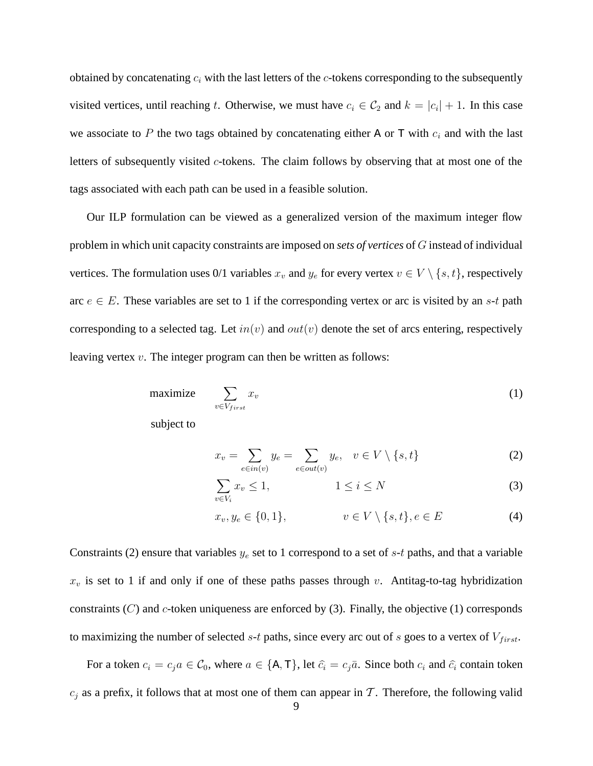obtained by concatenating  $c_i$  with the last letters of the c-tokens corresponding to the subsequently visited vertices, until reaching t. Otherwise, we must have  $c_i \in C_2$  and  $k = |c_i| + 1$ . In this case we associate to P the two tags obtained by concatenating either A or T with  $c_i$  and with the last letters of subsequently visited  $c$ -tokens. The claim follows by observing that at most one of the tags associated with each path can be used in a feasible solution.

Our ILP formulation can be viewed as a generalized version of the maximum integer flow problem in which unit capacity constraints are imposed on *sets of vertices* of G instead of individual vertices. The formulation uses 0/1 variables  $x_v$  and  $y_e$  for every vertex  $v \in V \setminus \{s,t\}$ , respectively arc  $e \in E$ . These variables are set to 1 if the corresponding vertex or arc is visited by an s-t path corresponding to a selected tag. Let  $in(v)$  and  $out(v)$  denote the set of arcs entering, respectively leaving vertex  $v$ . The integer program can then be written as follows:

$$
\text{maximize} \quad \sum_{v \in V_{first}} x_v \tag{1}
$$

subject to

$$
x_v = \sum_{e \in in(v)} y_e = \sum_{e \in out(v)} y_e, \quad v \in V \setminus \{s, t\}
$$
 (2)

$$
\sum_{v \in V_i} x_v \le 1, \qquad \qquad 1 \le i \le N \tag{3}
$$

$$
x_v, y_e \in \{0, 1\}, \qquad v \in V \setminus \{s, t\}, e \in E \tag{4}
$$

Constraints (2) ensure that variables  $y_e$  set to 1 correspond to a set of s-t paths, and that a variable  $x_v$  is set to 1 if and only if one of these paths passes through v. Antitag-to-tag hybridization constraints  $(C)$  and c-token uniqueness are enforced by (3). Finally, the objective (1) corresponds to maximizing the number of selected s-t paths, since every arc out of s goes to a vertex of  $V_{first}$ .

For a token  $c_i = c_i a \in C_0$ , where  $a \in \{A, T\}$ , let  $\hat{c}_i = c_i \bar{a}$ . Since both  $c_i$  and  $\hat{c}_i$  contain token  $c_i$  as a prefix, it follows that at most one of them can appear in T. Therefore, the following valid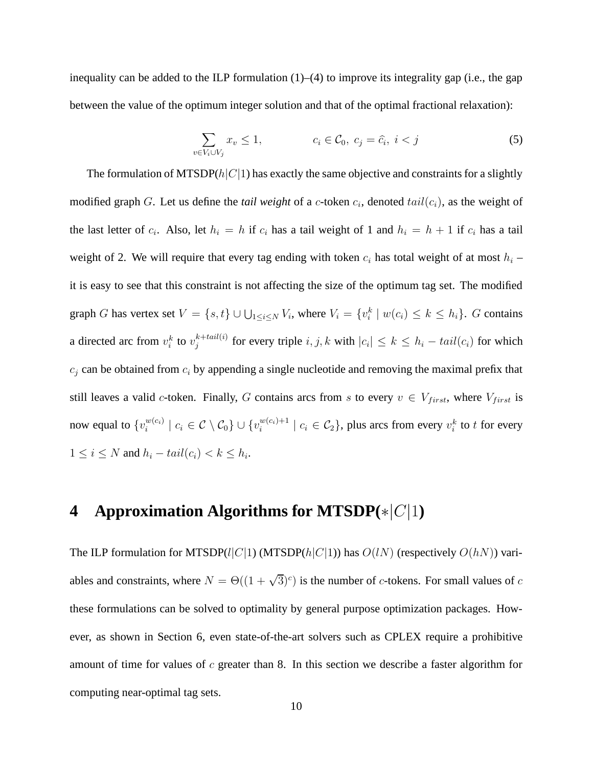inequality can be added to the ILP formulation (1)–(4) to improve its integrality gap (i.e., the gap between the value of the optimum integer solution and that of the optimal fractional relaxation):

$$
\sum_{v \in V_i \cup V_j} x_v \le 1, \qquad c_i \in \mathcal{C}_0, \ c_j = \widehat{c}_i, \ i < j \tag{5}
$$

The formulation of MTSDP( $h|C|1$ ) has exactly the same objective and constraints for a slightly modified graph G. Let us define the *tail weight* of a c-token  $c_i$ , denoted  $tail(c_i)$ , as the weight of the last letter of  $c_i$ . Also, let  $h_i = h$  if  $c_i$  has a tail weight of 1 and  $h_i = h + 1$  if  $c_i$  has a tail weight of 2. We will require that every tag ending with token  $c_i$  has total weight of at most  $h_i$  – it is easy to see that this constraint is not affecting the size of the optimum tag set. The modified graph G has vertex set  $V = \{s, t\} \cup \bigcup_{1 \le i \le N} V_i$ , where  $V_i = \{v_i^k \mid w(c_i) \le k \le h_i\}$ . G contains a directed arc from  $v_i^k$  to  $v_j^{k+tail(i)}$  $j_j^{k + \text{tail}(i)}$  for every triple  $i, j, k$  with  $|c_i| \leq k \leq h_i - \text{tail}(c_i)$  for which  $c_i$  can be obtained from  $c_i$  by appending a single nucleotide and removing the maximal prefix that still leaves a valid c-token. Finally, G contains arcs from s to every  $v \in V_{first}$ , where  $V_{first}$  is now equal to  $\{v_i^{w(c_i)}\}$  $\mathcal{C}_i^{w(c_i)} \mid c_i \in \mathcal{C} \setminus \mathcal{C}_0 \} \cup \{v_i^{w(c_i)+1}\}$  $\{w(c_i)+1 \mid c_i \in C_2\}$ , plus arcs from every  $v_i^k$  to t for every  $1 \leq i \leq N$  and  $h_i - tail(c_i) < k \leq h_i$ .

# **<sup>4</sup> Approximation Algorithms for MTSDP(**∗|C|1**)**

The ILP formulation for MTSDP( $l|C|1$ ) (MTSDP( $h|C|1$ )) has  $O(lN)$  (respectively  $O(hN)$ ) variables and constraints, where  $N = \Theta((1 + \sqrt{3})^c)$  is the number of c-tokens. For small values of c these formulations can be solved to optimality by general purpose optimization packages. However, as shown in Section 6, even state-of-the-art solvers such as CPLEX require a prohibitive amount of time for values of  $c$  greater than 8. In this section we describe a faster algorithm for computing near-optimal tag sets.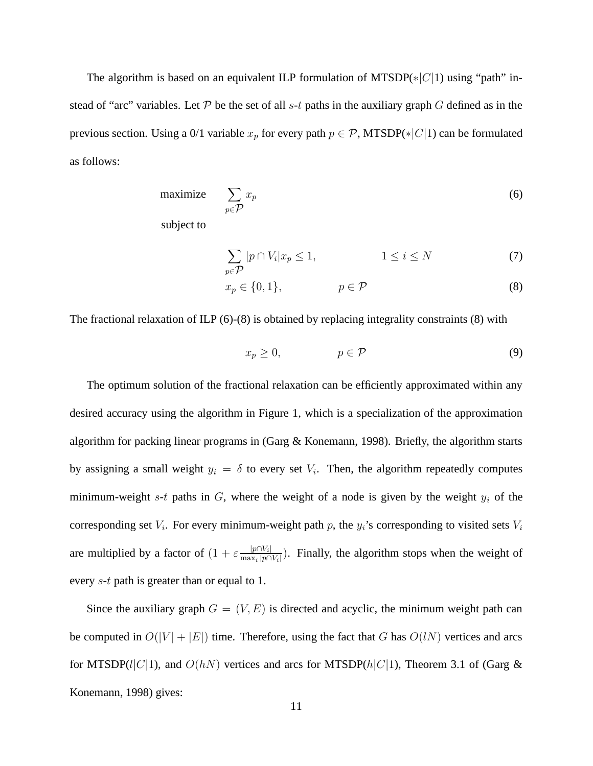The algorithm is based on an equivalent ILP formulation of MTSDP( $\ast |C|1$ ) using "path" instead of "arc" variables. Let  $\mathcal P$  be the set of all s-t paths in the auxiliary graph G defined as in the previous section. Using a 0/1 variable  $x_p$  for every path  $p \in \mathcal{P}$ , MTSDP(\*|C|1) can be formulated as follows:

$$
\text{maximize} \quad \sum_{p \in \mathcal{P}} x_p \tag{6}
$$

subject to

$$
\sum_{p \in \mathcal{P}} |p \cap V_i| x_p \le 1, \qquad 1 \le i \le N \tag{7}
$$

$$
x_p \in \{0, 1\}, \qquad p \in \mathcal{P} \tag{8}
$$

The fractional relaxation of ILP (6)-(8) is obtained by replacing integrality constraints (8) with

$$
x_p \ge 0, \qquad p \in \mathcal{P} \tag{9}
$$

The optimum solution of the fractional relaxation can be efficiently approximated within any desired accuracy using the algorithm in Figure 1, which is a specialization of the approximation algorithm for packing linear programs in (Garg & Konemann, 1998). Briefly, the algorithm starts by assigning a small weight  $y_i = \delta$  to every set  $V_i$ . Then, the algorithm repeatedly computes minimum-weight s-t paths in  $G$ , where the weight of a node is given by the weight  $y_i$  of the corresponding set  $V_i$ . For every minimum-weight path p, the  $y_i$ 's corresponding to visited sets  $V_i$ are multiplied by a factor of  $(1 + \varepsilon \frac{|p \cap V_i|}{\max |p|})$  $\frac{|p| |V_i|}{\max_i |p| |V_i|}$ ). Finally, the algorithm stops when the weight of every s-t path is greater than or equal to 1.

Since the auxiliary graph  $G = (V, E)$  is directed and acyclic, the minimum weight path can be computed in  $O(|V| + |E|)$  time. Therefore, using the fact that G has  $O(lN)$  vertices and arcs for MTSDP(l|C|1), and  $O(hN)$  vertices and arcs for MTSDP(h|C|1), Theorem 3.1 of (Garg & Konemann, 1998) gives: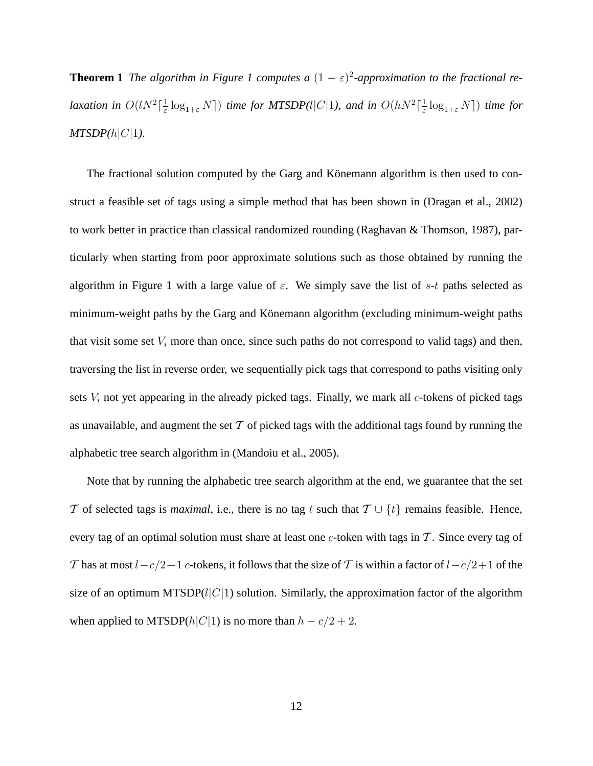**Theorem 1** *The algorithm in Figure 1 computes a*  $(1 - \varepsilon)^2$ -approximation to the fractional re*laxation in*  $O(lN^2)$   $\frac{1}{\varepsilon}$  $\frac{1}{\varepsilon} \log_{1+\varepsilon} N$  *() time for MTSDP(l|C|1), and in*  $O(hN^2)$  $\frac{1}{\varepsilon} \log_{1+\varepsilon} N$ ) *time for*  $MTSDP(h|C|1)$ .

The fractional solution computed by the Garg and Könemann algorithm is then used to construct a feasible set of tags using a simple method that has been shown in (Dragan et al., 2002) to work better in practice than classical randomized rounding (Raghavan & Thomson, 1987), particularly when starting from poor approximate solutions such as those obtained by running the algorithm in Figure 1 with a large value of  $\varepsilon$ . We simply save the list of s-t paths selected as minimum-weight paths by the Garg and Könemann algorithm (excluding minimum-weight paths that visit some set  $V_i$  more than once, since such paths do not correspond to valid tags) and then, traversing the list in reverse order, we sequentially pick tags that correspond to paths visiting only sets  $V_i$  not yet appearing in the already picked tags. Finally, we mark all  $c$ -tokens of picked tags as unavailable, and augment the set  $T$  of picked tags with the additional tags found by running the alphabetic tree search algorithm in (Mandoiu et al., 2005).

Note that by running the alphabetic tree search algorithm at the end, we guarantee that the set T of selected tags is *maximal*, i.e., there is no tag t such that  $T \cup \{t\}$  remains feasible. Hence, every tag of an optimal solution must share at least one  $c$ -token with tags in  $\mathcal T$ . Since every tag of T has at most  $l-c/2+1$  c-tokens, it follows that the size of T is within a factor of  $l-c/2+1$  of the size of an optimum MTSDP( $l|C|1$ ) solution. Similarly, the approximation factor of the algorithm when applied to MTSDP( $h|C|1$ ) is no more than  $h - c/2 + 2$ .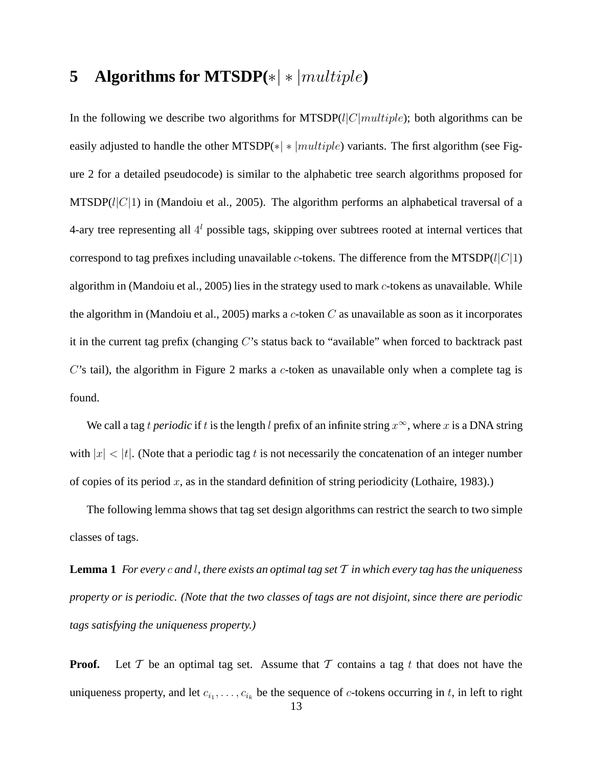# **5 Algorithms for MTSDP(**∗| ∗ |multiple**)**

In the following we describe two algorithms for MTSDP( $l|C|multiple$ ); both algorithms can be easily adjusted to handle the other MTSDP( $*|*|multiple$ ) variants. The first algorithm (see Figure 2 for a detailed pseudocode) is similar to the alphabetic tree search algorithms proposed for MTSDP( $l|C|1$ ) in (Mandoiu et al., 2005). The algorithm performs an alphabetical traversal of a 4-ary tree representing all  $4<sup>l</sup>$  possible tags, skipping over subtrees rooted at internal vertices that correspond to tag prefixes including unavailable c-tokens. The difference from the MTSDP( $l|C|1$ ) algorithm in (Mandoiu et al., 2005) lies in the strategy used to mark c-tokens as unavailable. While the algorithm in (Mandoiu et al., 2005) marks a c-token  $C$  as unavailable as soon as it incorporates it in the current tag prefix (changing  $C$ 's status back to "available" when forced to backtrack past C's tail), the algorithm in Figure 2 marks a c-token as unavailable only when a complete tag is found.

We call a tag t *periodic* if t is the length l prefix of an infinite string  $x^{\infty}$ , where x is a DNA string with  $|x| < |t|$ . (Note that a periodic tag t is not necessarily the concatenation of an integer number of copies of its period  $x$ , as in the standard definition of string periodicity (Lothaire, 1983).)

The following lemma shows that tag set design algorithms can restrict the search to two simple classes of tags.

**Lemma** 1 *For every c* and *l,* there exists an optimal tag set  $T$  in which every tag has the uniqueness property or is periodic. (Note that the two classes of tags are not disjoint, since there are periodic *tags satisfying the uniqueness property.)*

**Proof.** Let  $T$  be an optimal tag set. Assume that  $T$  contains a tag t that does not have the uniqueness property, and let  $c_{i_1}, \ldots, c_{i_k}$  be the sequence of *c*-tokens occurring in t, in left to right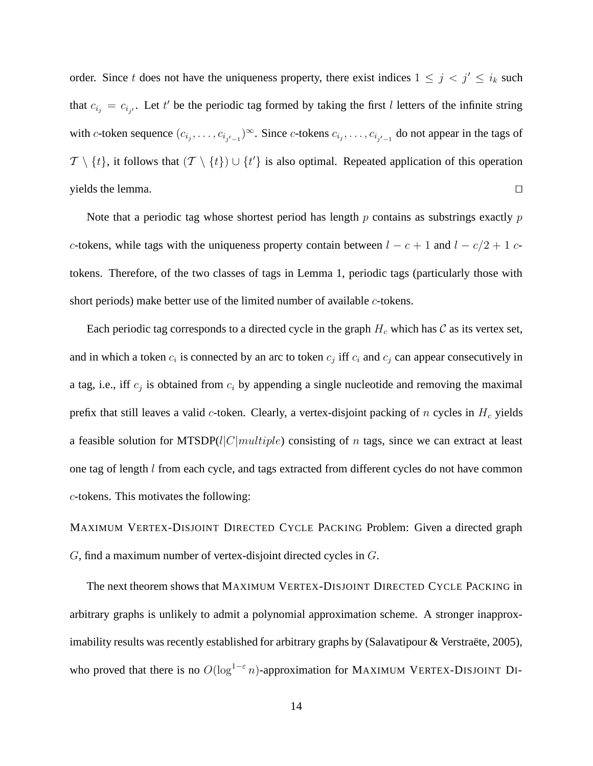order. Since t does not have the uniqueness property, there exist indices  $1 \leq j \leq i_k$  such that  $c_{i_j} = c_{i_{j'}}$ . Let t' be the periodic tag formed by taking the first l letters of the infinite string with c-token sequence  $(c_{i_j}, \ldots, c_{i_{j'-1}})^\infty$ . Since c-tokens  $c_{i_j}, \ldots, c_{i_{j'-1}}$  do not appear in the tags of  $\mathcal{T} \setminus \{t\}$ , it follows that  $(\mathcal{T} \setminus \{t\}) \cup \{t'\}$  is also optimal. Repeated application of this operation yields the lemma.  $\Box$ 

Note that a periodic tag whose shortest period has length  $p$  contains as substrings exactly  $p$ c-tokens, while tags with the uniqueness property contain between  $l - c + 1$  and  $l - c/2 + 1$  ctokens. Therefore, of the two classes of tags in Lemma 1, periodic tags (particularly those with short periods) make better use of the limited number of available *c*-tokens.

Each periodic tag corresponds to a directed cycle in the graph  $H_c$  which has  $\mathcal C$  as its vertex set, and in which a token  $c_i$  is connected by an arc to token  $c_j$  iff  $c_i$  and  $c_j$  can appear consecutively in a tag, i.e., iff  $c_j$  is obtained from  $c_i$  by appending a single nucleotide and removing the maximal prefix that still leaves a valid  $c$ -token. Clearly, a vertex-disjoint packing of  $n$  cycles in  $H_c$  yields a feasible solution for MTSDP( $l|C|multiple$ ) consisting of n tags, since we can extract at least one tag of length l from each cycle, and tags extracted from different cycles do not have common c-tokens. This motivates the following:

MAXIMUM VERTEX-DISJOINT DIRECTED CYCLE PACKING Problem: Given a directed graph G, find a maximum number of vertex-disjoint directed cycles in G.

The next theorem shows that MAXIMUM VERTEX-DISJOINT DIRECTED CYCLE PACKING in arbitrary graphs is unlikely to admit a polynomial approximation scheme. A stronger inapproximability results was recently established for arbitrary graphs by (Salavatipour  $&$  Verstraëte, 2005), who proved that there is no  $O(log^{1-\epsilon} n)$ -approximation for MAXIMUM VERTEX-DISJOINT DI-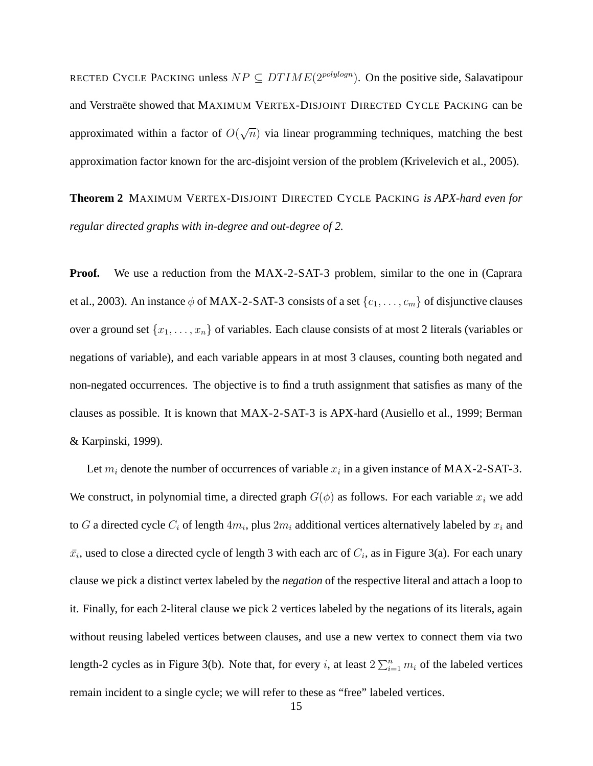RECTED CYCLE PACKING unless  $NP \subseteq DTIME(2^{polylog n})$ . On the positive side, Salavatipour and Verstraëte showed that MAXIMUM VERTEX-DISJOINT DIRECTED CYCLE PACKING can be approximated within a factor of  $O(\sqrt{n})$  via linear programming techniques, matching the best approximation factor known for the arc-disjoint version of the problem (Krivelevich et al., 2005).

**Theorem 2** MAXIMUM VERTEX-DISJOINT DIRECTED CYCLE PACKING *is APX-hard even for regular directed graphs with in-degree and out-degree of 2.*

**Proof.** We use a reduction from the MAX-2-SAT-3 problem, similar to the one in (Caprara) et al., 2003). An instance  $\phi$  of MAX-2-SAT-3 consists of a set  $\{c_1, \ldots, c_m\}$  of disjunctive clauses over a ground set  $\{x_1, \ldots, x_n\}$  of variables. Each clause consists of at most 2 literals (variables or negations of variable), and each variable appears in at most 3 clauses, counting both negated and non-negated occurrences. The objective is to find a truth assignment that satisfies as many of the clauses as possible. It is known that MAX-2-SAT-3 is APX-hard (Ausiello et al., 1999; Berman & Karpinski, 1999).

Let  $m_i$  denote the number of occurrences of variable  $x_i$  in a given instance of MAX-2-SAT-3. We construct, in polynomial time, a directed graph  $G(\phi)$  as follows. For each variable  $x_i$  we add to G a directed cycle  $C_i$  of length  $4m_i$ , plus  $2m_i$  additional vertices alternatively labeled by  $x_i$  and  $\bar{x}_i$ , used to close a directed cycle of length 3 with each arc of  $C_i$ , as in Figure 3(a). For each unary clause we pick a distinct vertex labeled by the *negation* of the respective literal and attach a loop to it. Finally, for each 2-literal clause we pick 2 vertices labeled by the negations of its literals, again without reusing labeled vertices between clauses, and use a new vertex to connect them via two length-2 cycles as in Figure 3(b). Note that, for every *i*, at least  $2\sum_{i=1}^n m_i$  of the labeled vertices remain incident to a single cycle; we will refer to these as "free" labeled vertices.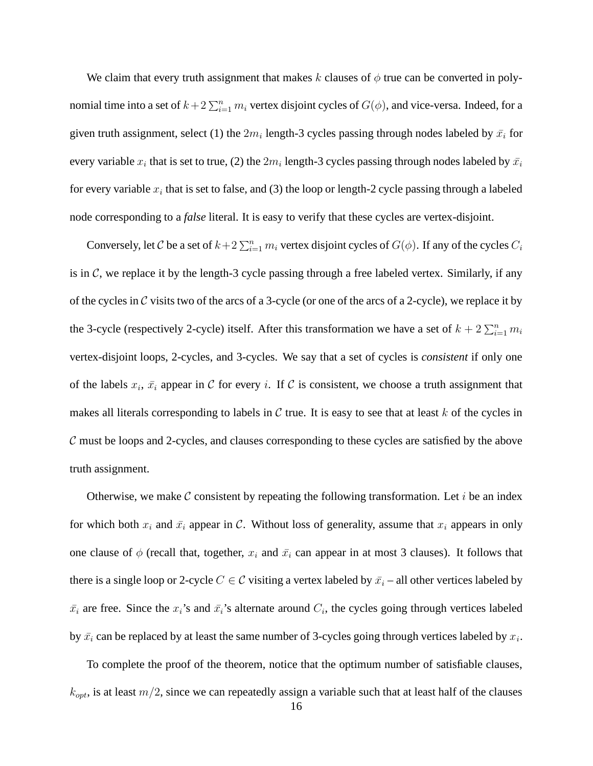We claim that every truth assignment that makes k clauses of  $\phi$  true can be converted in polynomial time into a set of  $k+2\sum_{i=1}^n m_i$  vertex disjoint cycles of  $G(\phi)$ , and vice-versa. Indeed, for a given truth assignment, select (1) the  $2m_i$  length-3 cycles passing through nodes labeled by  $\bar{x_i}$  for every variable  $x_i$  that is set to true, (2) the  $2m_i$  length-3 cycles passing through nodes labeled by  $\bar{x_i}$ for every variable  $x_i$  that is set to false, and (3) the loop or length-2 cycle passing through a labeled node corresponding to a *false* literal. It is easy to verify that these cycles are vertex-disjoint.

Conversely, let C be a set of  $k+2\sum_{i=1}^n m_i$  vertex disjoint cycles of  $G(\phi)$ . If any of the cycles  $C_i$ is in  $\mathcal{C}$ , we replace it by the length-3 cycle passing through a free labeled vertex. Similarly, if any of the cycles in C visits two of the arcs of a 3-cycle (or one of the arcs of a 2-cycle), we replace it by the 3-cycle (respectively 2-cycle) itself. After this transformation we have a set of  $k + 2 \sum_{i=1}^{n} m_i$ vertex-disjoint loops, 2-cycles, and 3-cycles. We say that a set of cycles is *consistent* if only one of the labels  $x_i$ ,  $\bar{x_i}$  appear in C for every i. If C is consistent, we choose a truth assignment that makes all literals corresponding to labels in  $\mathcal C$  true. It is easy to see that at least k of the cycles in  $\mathcal C$  must be loops and 2-cycles, and clauses corresponding to these cycles are satisfied by the above truth assignment.

Otherwise, we make  $\mathcal C$  consistent by repeating the following transformation. Let i be an index for which both  $x_i$  and  $\bar{x}_i$  appear in C. Without loss of generality, assume that  $x_i$  appears in only one clause of  $\phi$  (recall that, together,  $x_i$  and  $\bar{x}_i$  can appear in at most 3 clauses). It follows that there is a single loop or 2-cycle  $C \in \mathcal{C}$  visiting a vertex labeled by  $\bar{x}_i$  – all other vertices labeled by  $\bar{x}_i$  are free. Since the  $x_i$ 's and  $\bar{x}_i$ 's alternate around  $C_i$ , the cycles going through vertices labeled by  $\bar{x}_i$  can be replaced by at least the same number of 3-cycles going through vertices labeled by  $x_i$ .

To complete the proof of the theorem, notice that the optimum number of satisfiable clauses,  $k_{opt}$ , is at least  $m/2$ , since we can repeatedly assign a variable such that at least half of the clauses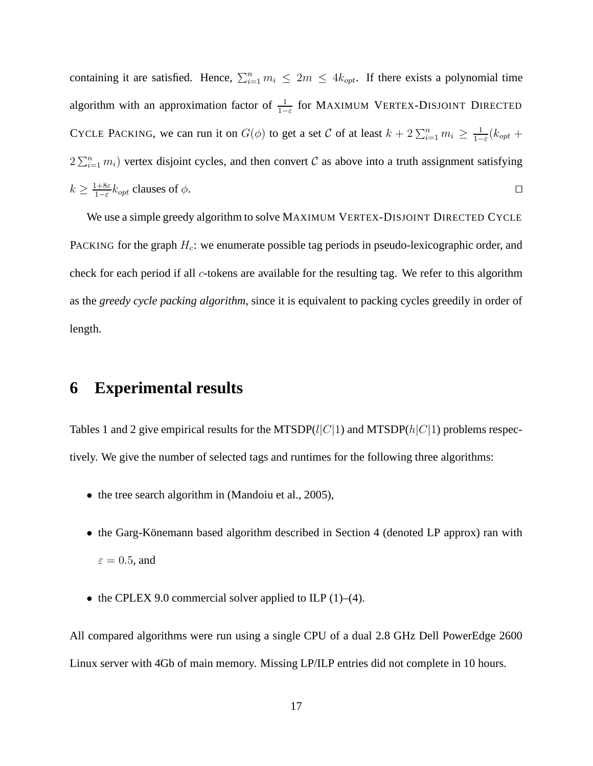containing it are satisfied. Hence,  $\sum_{i=1}^{n} m_i \leq 2m \leq 4k_{opt}$ . If there exists a polynomial time algorithm with an approximation factor of  $\frac{1}{1-\varepsilon}$  for MAXIMUM VERTEX-DISJOINT DIRECTED CYCLE PACKING, we can run it on  $G(\phi)$  to get a set C of at least  $k + 2 \sum_{i=1}^{n} m_i \ge \frac{1}{1 - \phi}$  $\frac{1}{1-\varepsilon}(k_{opt} +$  $2\sum_{i=1}^n m_i$ ) vertex disjoint cycles, and then convert C as above into a truth assignment satisfying  $k \geq \frac{1+8\varepsilon}{1-\varepsilon}$  $\frac{1+8\varepsilon}{1-\varepsilon}k_{opt}$  clauses of  $\phi$ .

We use a simple greedy algorithm to solve MAXIMUM VERTEX-DISJOINT DIRECTED CYCLE PACKING for the graph  $H_c$ : we enumerate possible tag periods in pseudo-lexicographic order, and check for each period if all c-tokens are available for the resulting tag. We refer to this algorithm as the *greedy cycle packing algorithm*, since it is equivalent to packing cycles greedily in order of length.

#### **6 Experimental results**

Tables 1 and 2 give empirical results for the MTSDP( $l|C|1$ ) and MTSDP( $h|C|1$ ) problems respectively. We give the number of selected tags and runtimes for the following three algorithms:

- the tree search algorithm in (Mandoiu et al., 2005),
- the Garg-Könemann based algorithm described in Section 4 (denoted LP approx) ran with  $\varepsilon = 0.5$ , and
- the CPLEX 9.0 commercial solver applied to ILP  $(1)$ – $(4)$ .

All compared algorithms were run using a single CPU of a dual 2.8 GHz Dell PowerEdge 2600 Linux server with 4Gb of main memory. Missing LP/ILP entries did not complete in 10 hours.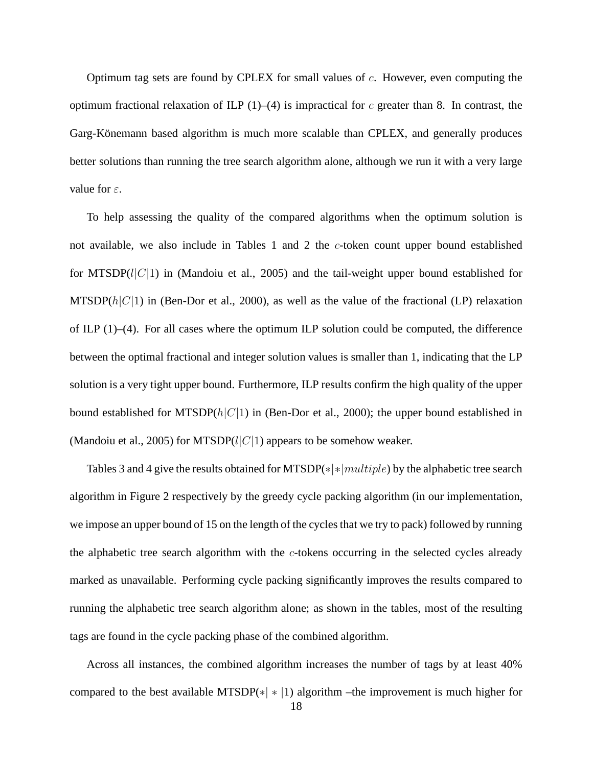Optimum tag sets are found by CPLEX for small values of  $c$ . However, even computing the optimum fractional relaxation of ILP  $(1)$ – $(4)$  is impractical for c greater than 8. In contrast, the Garg-Könemann based algorithm is much more scalable than CPLEX, and generally produces better solutions than running the tree search algorithm alone, although we run it with a very large value for  $\varepsilon$ .

To help assessing the quality of the compared algorithms when the optimum solution is not available, we also include in Tables 1 and 2 the c-token count upper bound established for MTSDP( $l|C|1$ ) in (Mandoiu et al., 2005) and the tail-weight upper bound established for MTSDP( $h|C|1$ ) in (Ben-Dor et al., 2000), as well as the value of the fractional (LP) relaxation of ILP (1)–(4). For all cases where the optimum ILP solution could be computed, the difference between the optimal fractional and integer solution values is smaller than 1, indicating that the LP solution is a very tight upper bound. Furthermore, ILP results confirm the high quality of the upper bound established for MTSDP $(h|C|1)$  in (Ben-Dor et al., 2000); the upper bound established in (Mandoiu et al., 2005) for MTSDP( $l|C|1$ ) appears to be somehow weaker.

Tables 3 and 4 give the results obtained for MTSDP( $\ast | \times | multiple \rangle$  by the alphabetic tree search algorithm in Figure 2 respectively by the greedy cycle packing algorithm (in our implementation, we impose an upper bound of 15 on the length of the cycles that we try to pack) followed by running the alphabetic tree search algorithm with the  $c$ -tokens occurring in the selected cycles already marked as unavailable. Performing cycle packing significantly improves the results compared to running the alphabetic tree search algorithm alone; as shown in the tables, most of the resulting tags are found in the cycle packing phase of the combined algorithm.

Across all instances, the combined algorithm increases the number of tags by at least 40% compared to the best available MTSDP( $*|*|1$ ) algorithm –the improvement is much higher for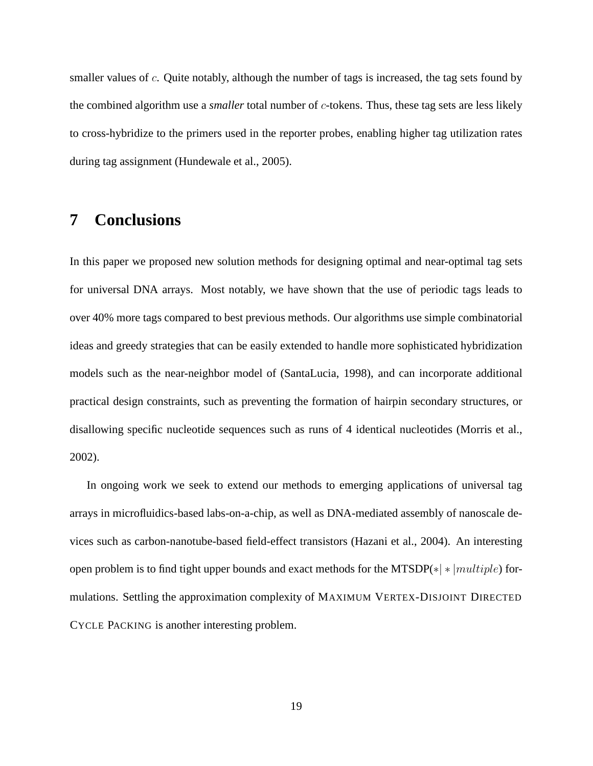smaller values of  $c$ . Quite notably, although the number of tags is increased, the tag sets found by the combined algorithm use a *smaller* total number of c-tokens. Thus, these tag sets are less likely to cross-hybridize to the primers used in the reporter probes, enabling higher tag utilization rates during tag assignment (Hundewale et al., 2005).

# **7 Conclusions**

In this paper we proposed new solution methods for designing optimal and near-optimal tag sets for universal DNA arrays. Most notably, we have shown that the use of periodic tags leads to over 40% more tags compared to best previous methods. Our algorithms use simple combinatorial ideas and greedy strategies that can be easily extended to handle more sophisticated hybridization models such as the near-neighbor model of (SantaLucia, 1998), and can incorporate additional practical design constraints, such as preventing the formation of hairpin secondary structures, or disallowing specific nucleotide sequences such as runs of 4 identical nucleotides (Morris et al., 2002).

In ongoing work we seek to extend our methods to emerging applications of universal tag arrays in microfluidics-based labs-on-a-chip, as well as DNA-mediated assembly of nanoscale devices such as carbon-nanotube-based field-effect transistors (Hazani et al., 2004). An interesting open problem is to find tight upper bounds and exact methods for the MTSDP( $*|*|multiple$ ) formulations. Settling the approximation complexity of MAXIMUM VERTEX-DISJOINT DIRECTED CYCLE PACKING is another interesting problem.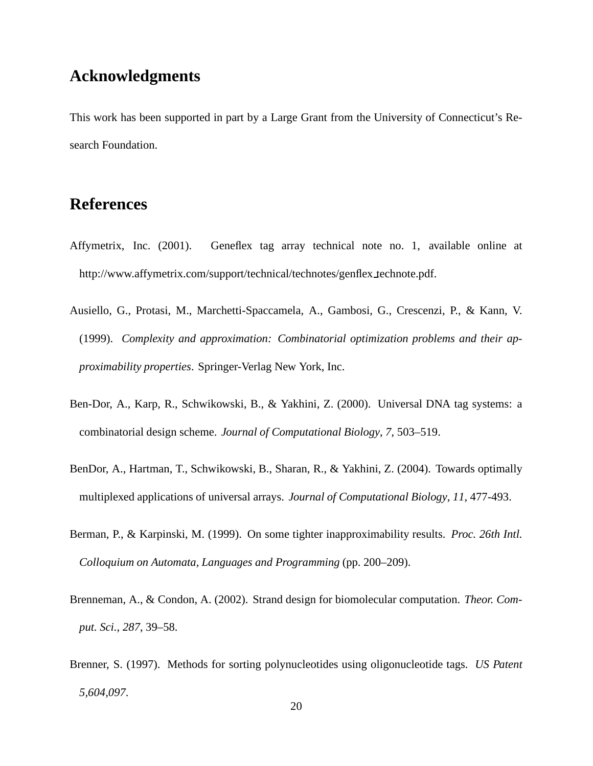## **Acknowledgments**

This work has been supported in part by a Large Grant from the University of Connecticut's Research Foundation.

# **References**

- Affymetrix, Inc. (2001). Geneflex tag array technical note no. 1, available online at http://www.affymetrix.com/support/technical/technotes/genflex technote.pdf.
- Ausiello, G., Protasi, M., Marchetti-Spaccamela, A., Gambosi, G., Crescenzi, P., & Kann, V. (1999). *Complexity and approximation: Combinatorial optimization problems and their approximability properties*. Springer-Verlag New York, Inc.
- Ben-Dor, A., Karp, R., Schwikowski, B., & Yakhini, Z. (2000). Universal DNA tag systems: a combinatorial design scheme. *Journal of Computational Biology*, *7*, 503–519.
- BenDor, A., Hartman, T., Schwikowski, B., Sharan, R., & Yakhini, Z. (2004). Towards optimally multiplexed applications of universal arrays. *Journal of Computational Biology*, *11*, 477-493.
- Berman, P., & Karpinski, M. (1999). On some tighter inapproximability results. *Proc. 26th Intl. Colloquium on Automata, Languages and Programming* (pp. 200–209).
- Brenneman, A., & Condon, A. (2002). Strand design for biomolecular computation. *Theor. Comput. Sci.*, *287*, 39–58.
- Brenner, S. (1997). Methods for sorting polynucleotides using oligonucleotide tags. *US Patent 5,604,097*.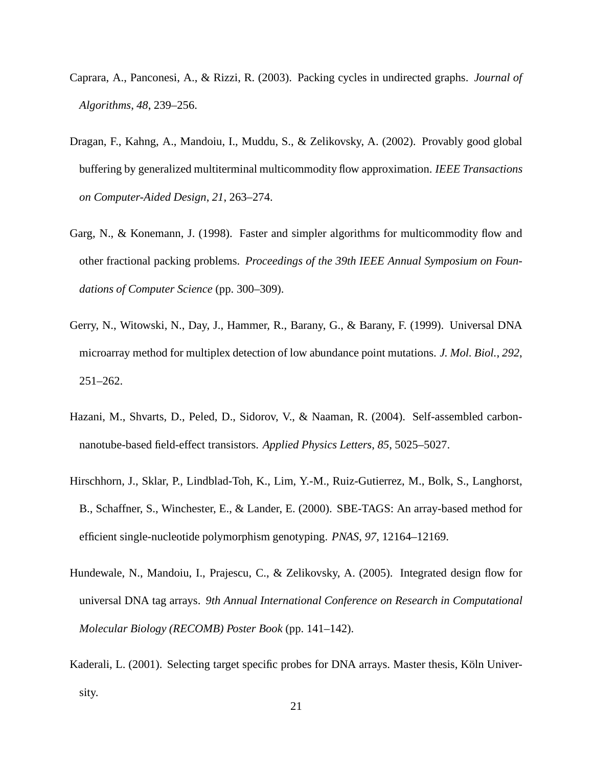- Caprara, A., Panconesi, A., & Rizzi, R. (2003). Packing cycles in undirected graphs. *Journal of Algorithms*, *48*, 239–256.
- Dragan, F., Kahng, A., Mandoiu, I., Muddu, S., & Zelikovsky, A. (2002). Provably good global buffering by generalized multiterminal multicommodity flow approximation. *IEEE Transactions on Computer-Aided Design*, *21*, 263–274.
- Garg, N., & Konemann, J. (1998). Faster and simpler algorithms for multicommodity flow and other fractional packing problems. *Proceedings of the 39th IEEE Annual Symposium on Foundations of Computer Science* (pp. 300–309).
- Gerry, N., Witowski, N., Day, J., Hammer, R., Barany, G., & Barany, F. (1999). Universal DNA microarray method for multiplex detection of low abundance point mutations. *J. Mol. Biol.*, *292*, 251–262.
- Hazani, M., Shvarts, D., Peled, D., Sidorov, V., & Naaman, R. (2004). Self-assembled carbonnanotube-based field-effect transistors. *Applied Physics Letters*, *85*, 5025–5027.
- Hirschhorn, J., Sklar, P., Lindblad-Toh, K., Lim, Y.-M., Ruiz-Gutierrez, M., Bolk, S., Langhorst, B., Schaffner, S., Winchester, E., & Lander, E. (2000). SBE-TAGS: An array-based method for efficient single-nucleotide polymorphism genotyping. *PNAS*, *97*, 12164–12169.
- Hundewale, N., Mandoiu, I., Prajescu, C., & Zelikovsky, A. (2005). Integrated design flow for universal DNA tag arrays. *9th Annual International Conference on Research in Computational Molecular Biology (RECOMB) Poster Book* (pp. 141–142).
- Kaderali, L. (2001). Selecting target specific probes for DNA arrays. Master thesis, Köln University.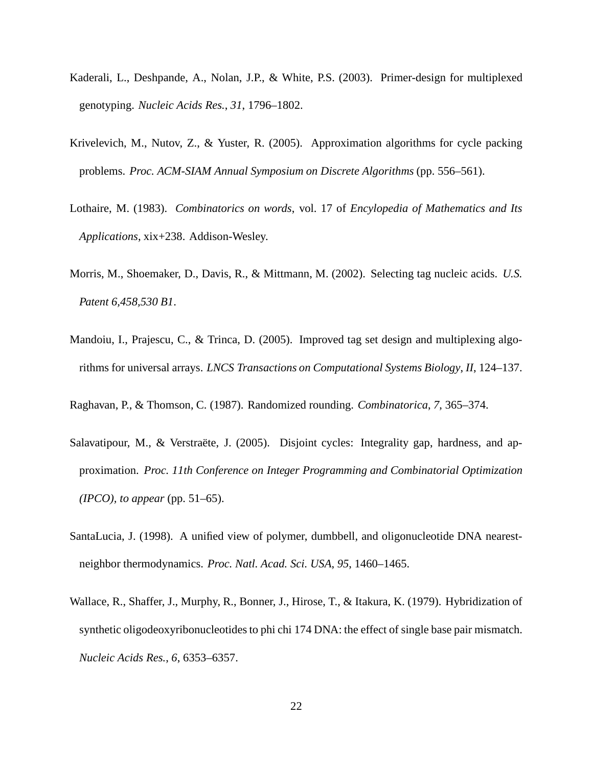- Kaderali, L., Deshpande, A., Nolan, J.P., & White, P.S. (2003). Primer-design for multiplexed genotyping. *Nucleic Acids Res.*, *31*, 1796–1802.
- Krivelevich, M., Nutov, Z., & Yuster, R. (2005). Approximation algorithms for cycle packing problems. *Proc. ACM-SIAM Annual Symposium on Discrete Algorithms* (pp. 556–561).
- Lothaire, M. (1983). *Combinatorics on words*, vol. 17 of *Encylopedia of Mathematics and Its Applications*, xix+238. Addison-Wesley.
- Morris, M., Shoemaker, D., Davis, R., & Mittmann, M. (2002). Selecting tag nucleic acids. *U.S. Patent 6,458,530 B1*.
- Mandoiu, I., Prajescu, C., & Trinca, D. (2005). Improved tag set design and multiplexing algorithms for universal arrays. *LNCS Transactions on Computational Systems Biology*, *II*, 124–137.
- Raghavan, P., & Thomson, C. (1987). Randomized rounding. *Combinatorica*, *7*, 365–374.
- Salavatipour, M., & Verstraëte, J. (2005). Disjoint cycles: Integrality gap, hardness, and approximation. *Proc. 11th Conference on Integer Programming and Combinatorial Optimization (IPCO), to appear* (pp. 51–65).
- SantaLucia, J. (1998). A unified view of polymer, dumbbell, and oligonucleotide DNA nearestneighbor thermodynamics. *Proc. Natl. Acad. Sci. USA*, *95*, 1460–1465.
- Wallace, R., Shaffer, J., Murphy, R., Bonner, J., Hirose, T., & Itakura, K. (1979). Hybridization of synthetic oligodeoxyribonucleotides to phi chi 174 DNA: the effect of single base pair mismatch. *Nucleic Acids Res.*, *6*, 6353–6357.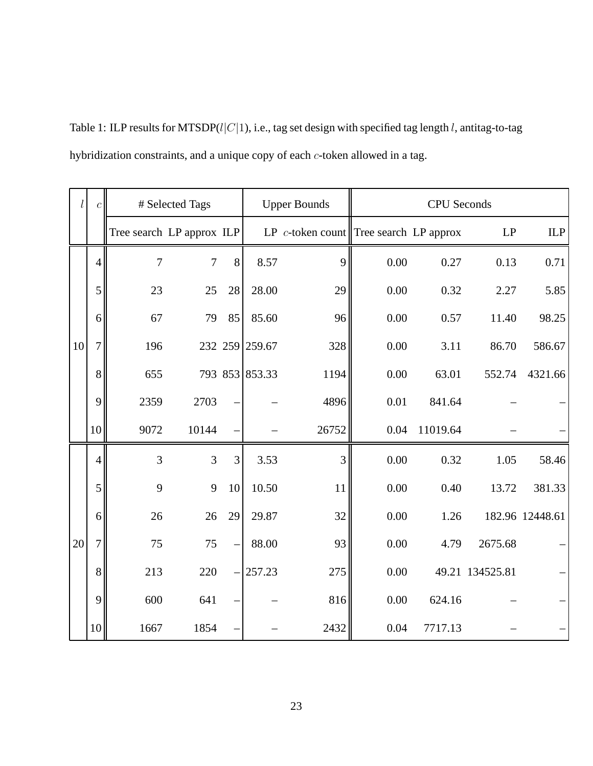Table 1: ILP results for MTSDP( $l|C|1$ ), i.e., tag set design with specified tag length l, antitag-to-tag hybridization constraints, and a unique copy of each c-token allowed in a tag.

| l  | $\boldsymbol{c}$ |                           | # Selected Tags |                | <b>Upper Bounds</b> |                                           | <b>CPU</b> Seconds |          |                 |                 |  |
|----|------------------|---------------------------|-----------------|----------------|---------------------|-------------------------------------------|--------------------|----------|-----------------|-----------------|--|
|    |                  | Tree search LP approx ILP |                 |                |                     | LP $c$ -token count Tree search LP approx |                    |          | LP              | ILP             |  |
| 10 | $\overline{4}$   | 7                         | 7               | 8              | 8.57                | 9                                         | 0.00               | 0.27     | 0.13            | 0.71            |  |
|    | 5                | 23                        | 25              | 28             | 28.00               | 29                                        | 0.00               | 0.32     | 2.27            | 5.85            |  |
|    | 6                | 67                        | 79              | 85             | 85.60               | 96                                        | 0.00               | 0.57     | 11.40           | 98.25           |  |
|    | $\overline{7}$   | 196                       |                 |                | 232 259 259.67      | 328                                       | 0.00               | 3.11     | 86.70           | 586.67          |  |
|    | 8                | 655                       |                 |                | 793 853 853.33      | 1194                                      | 0.00               | 63.01    | 552.74          | 4321.66         |  |
|    | 9                | 2359                      | 2703            |                |                     | 4896                                      | 0.01               | 841.64   |                 |                 |  |
|    | 10               | 9072                      | 10144           |                |                     | 26752                                     | 0.04               | 11019.64 |                 |                 |  |
|    | $\overline{4}$   | 3                         | $\overline{3}$  | $\overline{3}$ | 3.53                | $\overline{3}$                            | 0.00               | 0.32     | 1.05            | 58.46           |  |
|    | 5                | 9                         | 9               | 10             | 10.50               | 11                                        | 0.00               | 0.40     | 13.72           | 381.33          |  |
|    | 6                | 26                        | 26              | 29             | 29.87               | 32                                        | 0.00               | 1.26     |                 | 182.96 12448.61 |  |
| 20 | $\overline{7}$   | 75                        | 75              |                | 88.00               | 93                                        | 0.00               | 4.79     | 2675.68         |                 |  |
|    | 8                | 213                       | 220             |                | 257.23              | 275                                       | 0.00               |          | 49.21 134525.81 |                 |  |
|    | 9                | 600                       | 641             |                |                     | 816                                       | 0.00               | 624.16   |                 |                 |  |
|    | 10               | 1667                      | 1854            |                |                     | 2432                                      | 0.04               | 7717.13  |                 |                 |  |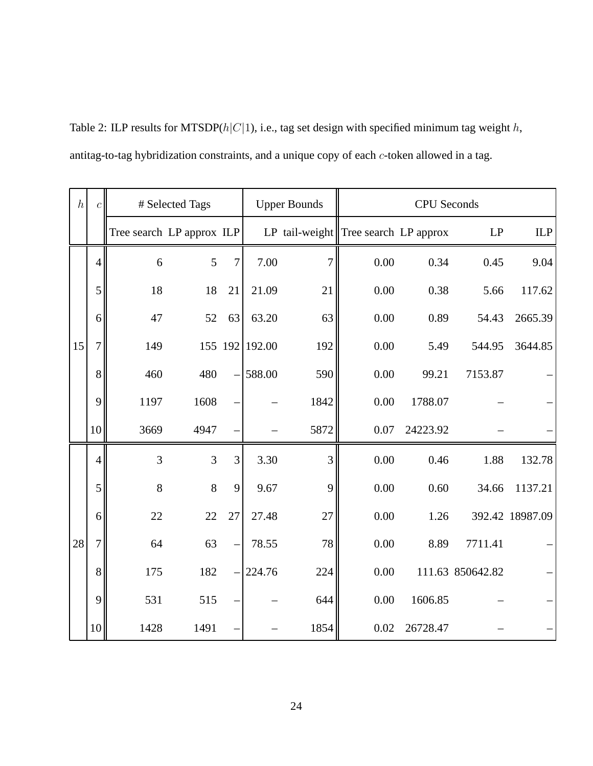| $\boldsymbol{h}$ | $\boldsymbol{c}$ |                           | # Selected Tags |         |        | <b>Upper Bounds</b> | <b>CPU</b> Seconds                        |          |                  |                 |  |
|------------------|------------------|---------------------------|-----------------|---------|--------|---------------------|-------------------------------------------|----------|------------------|-----------------|--|
|                  |                  | Tree search LP approx ILP |                 |         |        |                     | LP tail-weight $\ $ Tree search LP approx |          | LP               | ILP             |  |
| 15               | $\overline{4}$   | 6                         | 5               | 7       | 7.00   | 7                   | 0.00                                      | 0.34     | 0.45             | 9.04            |  |
|                  | 5                | 18                        | 18              | 21      | 21.09  | 21                  | 0.00                                      | 0.38     | 5.66             | 117.62          |  |
|                  | 6                | 47                        | 52              | 63      | 63.20  | 63                  | 0.00                                      | 0.89     | 54.43            | 2665.39         |  |
|                  | $\overline{7}$   | 149                       |                 | 155 192 | 192.00 | 192                 | 0.00                                      | 5.49     | 544.95           | 3644.85         |  |
|                  | 8                | 460                       | 480             |         | 588.00 | 590                 | 0.00                                      | 99.21    | 7153.87          |                 |  |
|                  | 9                | 1197                      | 1608            |         |        | 1842                | 0.00                                      | 1788.07  |                  |                 |  |
|                  | 10               | 3669                      | 4947            |         |        | 5872                | 0.07                                      | 24223.92 |                  |                 |  |
|                  | $\overline{4}$   | 3                         | 3               | 3       | 3.30   | 3                   | 0.00                                      | 0.46     | 1.88             | 132.78          |  |
|                  | 5                | 8                         | 8               | 9       | 9.67   | 9                   | 0.00                                      | 0.60     | 34.66            | 1137.21         |  |
|                  | 6                | 22                        | 22              | 27      | 27.48  | 27                  | 0.00                                      | 1.26     |                  | 392.42 18987.09 |  |
| 28               | $\overline{7}$   | 64                        | 63              |         | 78.55  | $78\,$              | 0.00                                      | 8.89     | 7711.41          |                 |  |
|                  | 8                | 175                       | 182             |         | 224.76 | 224                 | 0.00                                      |          | 111.63 850642.82 |                 |  |
|                  | 9                | 531                       | 515             |         |        | 644                 | 0.00                                      | 1606.85  |                  |                 |  |
|                  | 10               | 1428                      | 1491            |         |        | 1854                | 0.02                                      | 26728.47 |                  |                 |  |

Table 2: ILP results for MTSDP( $h|C|1$ ), i.e., tag set design with specified minimum tag weight h, antitag-to-tag hybridization constraints, and a unique copy of each c-token allowed in a tag.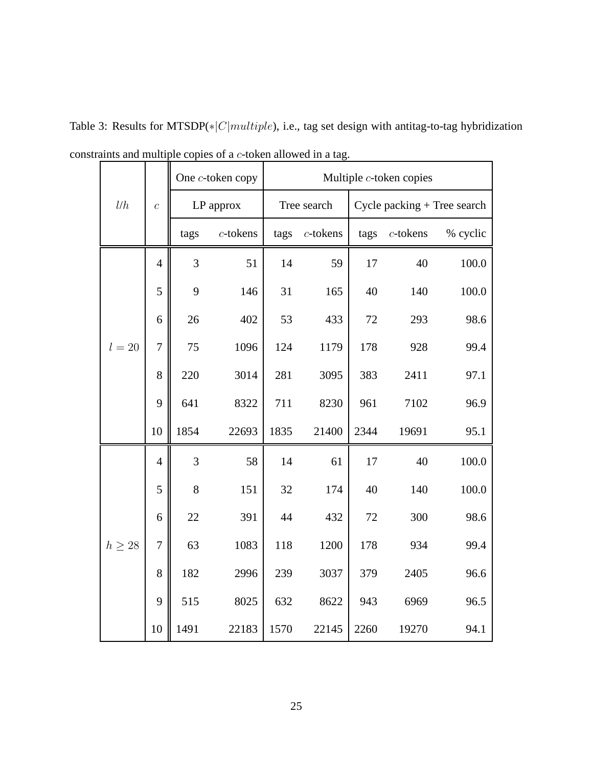|             |                  |      | One c-token copy | Multiple c-token copies |             |                               |             |          |  |  |
|-------------|------------------|------|------------------|-------------------------|-------------|-------------------------------|-------------|----------|--|--|
| l/h         | $\overline{c}$   |      | LP approx        |                         | Tree search | $Cycle$ packing + Tree search |             |          |  |  |
|             |                  | tags | $c$ -tokens      | tags                    | $c$ -tokens | tags                          | $c$ -tokens | % cyclic |  |  |
|             | $\overline{4}$   | 3    | 51               | 14                      | 59          | 17                            | 40          | 100.0    |  |  |
|             | 5                | 9    | 146              | 31                      | 165         | 40                            | 140         | 100.0    |  |  |
|             | 6                | 26   | 402              | 53                      | 433         | 72                            | 293         | 98.6     |  |  |
| $l=20$      | $\overline{7}$   | 75   | 1096             | 124                     | 1179        | 178                           | 928         | 99.4     |  |  |
|             | 8                | 220  | 3014             | 281                     | 3095        | 383                           | 2411        | 97.1     |  |  |
|             | 9                | 641  | 8322             | 711                     | 8230        | 961                           | 7102        | 96.9     |  |  |
|             | 10               | 1854 | 22693            | 1835                    | 21400       | 2344                          | 19691       | 95.1     |  |  |
|             | $\overline{4}$   | 3    | 58               | 14                      | 61          | 17                            | 40          | 100.0    |  |  |
|             | 5                | 8    | 151              | 32                      | 174         | 40                            | 140         | 100.0    |  |  |
|             | 6                | 22   | 391              | 44                      | 432         | 72                            | 300         | 98.6     |  |  |
| $h \geq 28$ | $\boldsymbol{7}$ | 63   | 1083             | 118                     | 1200        | 178                           | 934         | 99.4     |  |  |
|             | 8                | 182  | 2996             | 239                     | 3037        | 379                           | 2405        | 96.6     |  |  |
|             | 9                | 515  | 8025             | 632                     | 8622        | 943                           | 6969        | 96.5     |  |  |
|             | 10               | 1491 | 22183            | 1570                    | 22145       | 2260                          | 19270       | 94.1     |  |  |

Table 3: Results for MTSDP(\*|C|multiple), i.e., tag set design with antitag-to-tag hybridization constraints and multiple copies of a c-token allowed in a tag.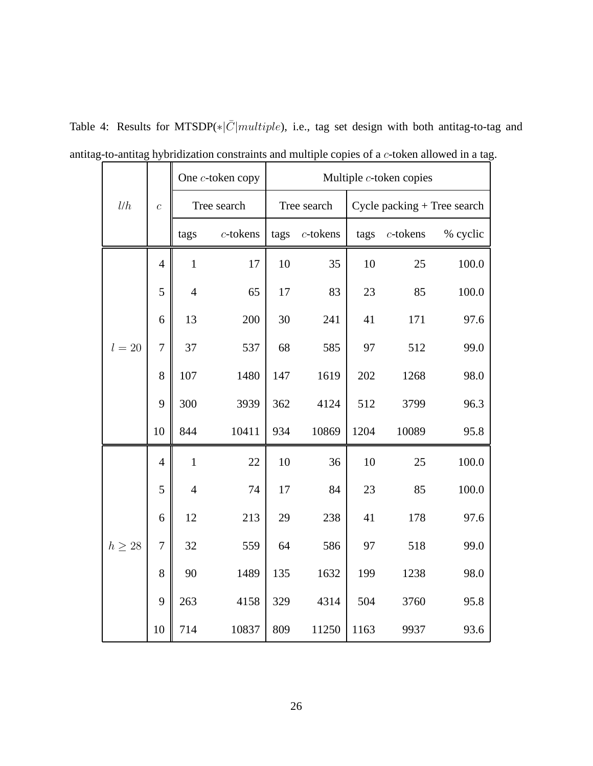|             |                |                | One c-token copy | Multiple $c$ -token copies |             |                             |             |          |  |
|-------------|----------------|----------------|------------------|----------------------------|-------------|-----------------------------|-------------|----------|--|
| l/h         | $\overline{c}$ |                | Tree search      |                            | Tree search | Cycle packing + Tree search |             |          |  |
|             |                | tags           | $c$ -tokens      | tags                       | $c$ -tokens | tags                        | $c$ -tokens | % cyclic |  |
|             | $\overline{4}$ | $\mathbf{1}$   | 17               | 10                         | 35          | 10                          | 25          | 100.0    |  |
|             | 5              | $\overline{4}$ | 65               | 17                         | 83          | 23                          | 85          | 100.0    |  |
|             | 6              | 13             | 200              | 30                         | 241         | 41                          | 171         | 97.6     |  |
| $l=20$      | $\overline{7}$ | 37             | 537              | 68                         | 585         | 97                          | 512         | 99.0     |  |
|             | 8              | 107            | 1480             | 147                        | 1619        | 202                         | 1268        | 98.0     |  |
|             | 9              | 300            | 3939             | 362                        | 4124        | 512                         | 3799        | 96.3     |  |
|             | 10             | 844            | 10411            | 934                        | 10869       | 1204                        | 10089       | 95.8     |  |
|             | $\overline{4}$ | $\mathbf{1}$   | 22               | 10                         | 36          | 10                          | 25          | 100.0    |  |
|             | 5              | $\overline{4}$ | 74               | 17                         | 84          | 23                          | 85          | 100.0    |  |
|             | 6              | 12             | 213              | 29                         | 238         | 41                          | 178         | 97.6     |  |
| $h \geq 28$ | $\overline{7}$ | 32             | 559              | 64                         | 586         | 97                          | 518         | 99.0     |  |
|             | 8              | 90             | 1489             | 135                        | 1632        | 199                         | 1238        | 98.0     |  |
|             | 9              | 263            | 4158             | 329                        | 4314        | 504                         | 3760        | 95.8     |  |
|             | 10             | 714            | 10837            | 809                        | 11250       | 1163                        | 9937        | 93.6     |  |

Table 4: Results for MTSDP(\* $|\bar{C}|$ multiple), i.e., tag set design with both antitag-to-tag and antitag-to-antitag hybridization constraints and multiple copies of a c-token allowed in a tag.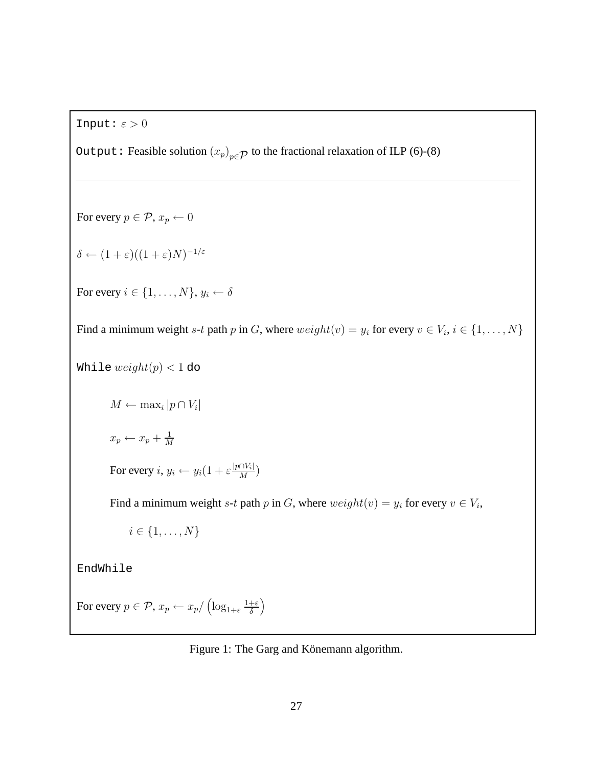Input:  $\varepsilon > 0$ 

Output: Feasible solution  $(x_p)_{p \in \mathcal{P}}$  to the fractional relaxation of ILP (6)-(8)

For every  $p \in \mathcal{P}$ ,  $x_p \leftarrow 0$  $\delta \leftarrow (1+\varepsilon)((1+\varepsilon)N)^{-1/\varepsilon}$ For every  $i \in \{1, \ldots, N\}, y_i \leftarrow \delta$ Find a minimum weight s-t path p in G, where  $weight(v) = y_i$  for every  $v \in V_i$ ,  $i \in \{1, ..., N\}$ While  $weight(p) < 1$  do  $M \leftarrow \max_i |p \cap V_i|$  $x_p \leftarrow x_p + \frac{1}{M}$ M For every  $i, y_i \leftarrow y_i(1 + \varepsilon \frac{|p \cap V_i|}{M})$  $\frac{|\mathcal{W}_i|}{M}\Big)$ Find a minimum weight s-t path p in G, where  $weight(v) = y_i$  for every  $v \in V_i$ ,  $i \in \{1, \ldots, N\}$ EndWhile For every  $p \in \mathcal{P}$ ,  $x_p \leftarrow x_p / \left(\log_{1+\varepsilon} \frac{1+\varepsilon}{\delta}\right)$  $\overline{ }$ 

Figure 1: The Garg and Könemann algorithm.

δ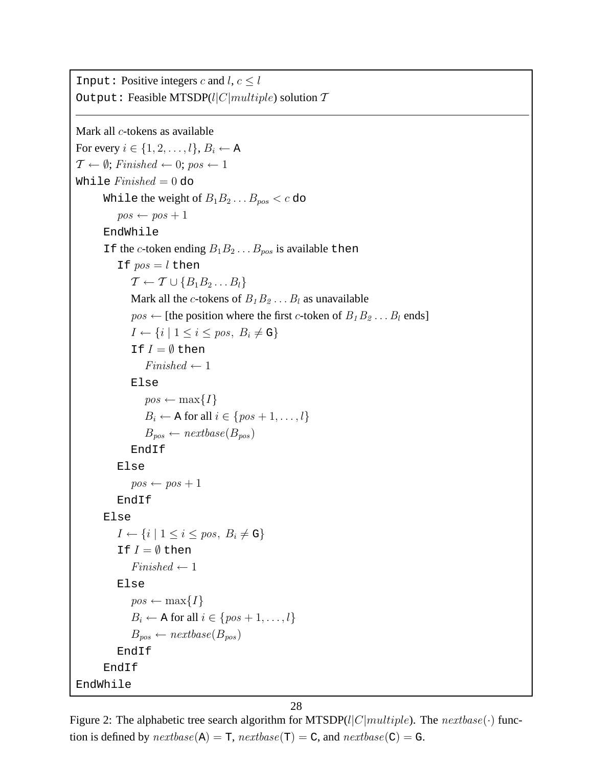```
Input: Positive integers c and l, c \leq lOutput: Feasible MTSDP(l|C|multiple) solution TMark all c-tokens as available
For every i \in \{1, 2, \ldots, l\}, B_i \leftarrow A\mathcal{T} \leftarrow \emptyset; Finished \leftarrow 0; pos \leftarrow 1While Finished = 0 do
       While the weight of B_1B_2...B_{pos} < c do
           pos \leftarrow pos + 1EndWhile
       If the c-token ending B_1B_2 \ldots B_{pos} is available then
           If pos = l then
               \mathcal{T} \leftarrow \mathcal{T} \cup \{B_1B_2\ldots B_l\}Mark all the c-tokens of B_1B_2 \ldots B_l as unavailable
               pos \leftarrow [the position where the first c-token of B_1B_2 \ldots B_l ends]
               I \leftarrow \{i \mid 1 \leq i \leq pos, B_i \neq G\}If I = \emptyset then
                  Finished \leftarrow 1Else
                  pos \leftarrow max\{I\}B_i \leftarrow A for all i \in \{pos + 1, \ldots, l\}B_{pos} \leftarrow nextbase(B_{pos})EndIf
           Else
               pos \leftarrow pos + 1EndIf
       Else
           I \leftarrow \{i \mid 1 \leq i \leq pos, B_i \neq G\}If I = \emptyset then
               Finished \leftarrow 1Else
               pos \leftarrow max\{I\}B_i \leftarrow A for all i \in \{pos + 1, \ldots, l\}B_{pos} \leftarrow nextbase(B_{pos})EndIf
       EndIf
EndWhile
```
Figure 2: The alphabetic tree search algorithm for MTSDP(l|C|multiple). The nextbase( $\cdot$ ) function is defined by  $\textit{nextbase}(A) = T$ ,  $\textit{nextbase}(T) = C$ , and  $\textit{nextbase}(C) = G$ .

28